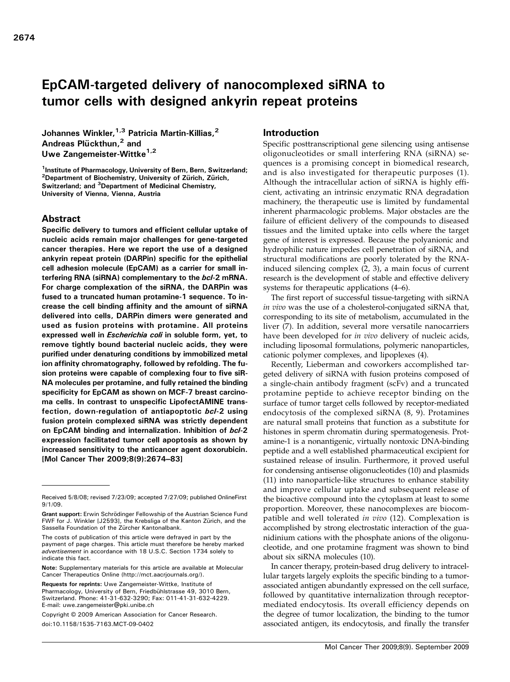# EpCAM-targeted delivery of nanocomplexed siRNA to tumor cells with designed ankyrin repeat proteins

Johannes Winkler, <sup>1,3</sup> Patricia Martin-Killias, <sup>2</sup> Andreas Plückthun,<sup>2</sup> and Uwe Zangemeister-Wittke<sup>1,2</sup>

<sup>1</sup>Institute of Pharmacology, University of Bern, Bern, Switzerland; <sup>2</sup>Department of Biochemistry, University of Zürich, Zürich, Switzerland; and <sup>3</sup>Department of Medicinal Chemistry, University of Vienna, Vienna, Austria

## Abstract

Specific delivery to tumors and efficient cellular uptake of nucleic acids remain major challenges for gene-targeted cancer therapies. Here we report the use of a designed ankyrin repeat protein (DARPin) specific for the epithelial cell adhesion molecule (EpCAM) as a carrier for small interfering RNA (siRNA) complementary to the bcl-2 mRNA. For charge complexation of the siRNA, the DARPin was fused to a truncated human protamine-1 sequence. To increase the cell binding affinity and the amount of siRNA delivered into cells, DARPin dimers were generated and used as fusion proteins with protamine. All proteins expressed well in *Escherichia coli* in soluble form, yet, to remove tightly bound bacterial nucleic acids, they were purified under denaturing conditions by immobilized metal ion affinity chromatography, followed by refolding. The fusion proteins were capable of complexing four to five siR-NA molecules per protamine, and fully retained the binding specificity for EpCAM as shown on MCF-7 breast carcinoma cells. In contrast to unspecific LipofectAMINE transfection, down-regulation of antiapoptotic bcl-2 using fusion protein complexed siRNA was strictly dependent on EpCAM binding and internalization. Inhibition of bcl-2 expression facilitated tumor cell apoptosis as shown by increased sensitivity to the anticancer agent doxorubicin. [Mol Cancer Ther 2009;8(9):2674–83]

## Introduction

Specific posttranscriptional gene silencing using antisense oligonucleotides or small interfering RNA (siRNA) sequences is a promising concept in biomedical research, and is also investigated for therapeutic purposes (1). Although the intracellular action of siRNA is highly efficient, activating an intrinsic enzymatic RNA degradation machinery, the therapeutic use is limited by fundamental inherent pharmacologic problems. Major obstacles are the failure of efficient delivery of the compounds to diseased tissues and the limited uptake into cells where the target gene of interest is expressed. Because the polyanionic and hydrophilic nature impedes cell penetration of siRNA, and structural modifications are poorly tolerated by the RNAinduced silencing complex (2, 3), a main focus of current research is the development of stable and effective delivery systems for therapeutic applications (4–6).

The first report of successful tissue-targeting with siRNA in vivo was the use of a cholesterol-conjugated siRNA that, corresponding to its site of metabolism, accumulated in the liver (7). In addition, several more versatile nanocarriers have been developed for in vivo delivery of nucleic acids, including liposomal formulations, polymeric nanoparticles, cationic polymer complexes, and lipoplexes (4).

Recently, Lieberman and coworkers accomplished targeted delivery of siRNA with fusion proteins composed of a single-chain antibody fragment (scFv) and a truncated protamine peptide to achieve receptor binding on the surface of tumor target cells followed by receptor-mediated endocytosis of the complexed siRNA (8, 9). Protamines are natural small proteins that function as a substitute for histones in sperm chromatin during spermatogenesis. Protamine-1 is a nonantigenic, virtually nontoxic DNA-binding peptide and a well established pharmaceutical excipient for sustained release of insulin. Furthermore, it proved useful for condensing antisense oligonucleotides (10) and plasmids (11) into nanoparticle-like structures to enhance stability and improve cellular uptake and subsequent release of the bioactive compound into the cytoplasm at least to some proportion. Moreover, these nanocomplexes are biocompatible and well tolerated in vivo (12). Complexation is accomplished by strong electrostatic interaction of the guanidinium cations with the phosphate anions of the oligonucleotide, and one protamine fragment was shown to bind about six siRNA molecules (10).

In cancer therapy, protein-based drug delivery to intracellular targets largely exploits the specific binding to a tumorassociated antigen abundantly expressed on the cell surface, followed by quantitative internalization through receptormediated endocytosis. Its overall efficiency depends on the degree of tumor localization, the binding to the tumor associated antigen, its endocytosis, and finally the transfer

Received 5/8/08; revised 7/23/09; accepted 7/27/09; published OnlineFirst 9/1/09.

Grant support: Erwin Schrödinger Fellowship of the Austrian Science Fund FWF for J. Winkler [J2593], the Krebsliga of the Kanton Zürich, and the Sassella Foundation of the Zürcher Kantonalbank.

The costs of publication of this article were defrayed in part by the payment of page charges. This article must therefore be hereby marked advertisement in accordance with 18 U.S.C. Section 1734 solely to indicate this fact.

Note: Supplementary materials for this article are available at Molecular Cancer Therapeutics Online (http://mct.aacrjournals.org/).

Requests for reprints: Uwe Zangemeister-Wittke, Institute of Pharmacology, University of Bern, Friedbühlstrasse 49, 3010 Bern, Switzerland. Phone: 41-31-632-3290; Fax: 011-41-31-632-4229. E-mail: uwe.zangemeister@pki.unibe.ch

Copyright © 2009 American Association for Cancer Research. doi:10.1158/1535-7163.MCT-09-0402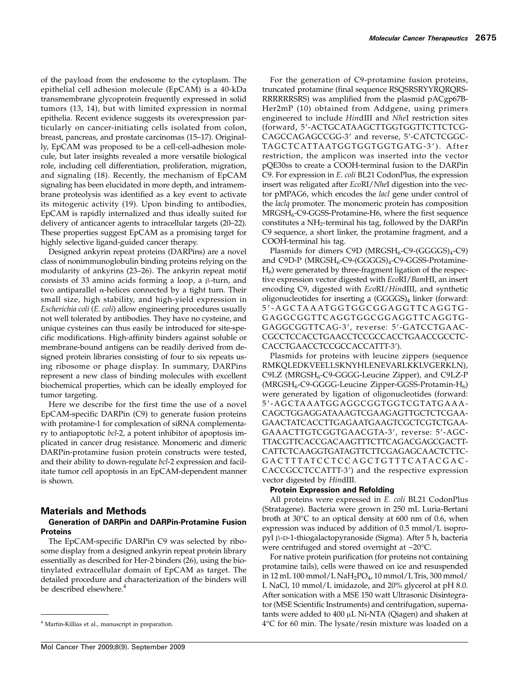of the payload from the endosome to the cytoplasm. The epithelial cell adhesion molecule (EpCAM) is a 40-kDa transmembrane glycoprotein frequently expressed in solid tumors (13, 14), but with limited expression in normal epithelia. Recent evidence suggests its overexpression particularly on cancer-initiating cells isolated from colon, breast, pancreas, and prostate carcinomas (15–17). Originally, EpCAM was proposed to be a cell-cell-adhesion molecule, but later insights revealed a more versatile biological role, including cell differentiation, proliferation, migration, and signaling (18). Recently, the mechanism of EpCAM signaling has been elucidated in more depth, and intramembrane proteolysis was identified as a key event to activate its mitogenic activity (19). Upon binding to antibodies, EpCAM is rapidly internalized and thus ideally suited for delivery of anticancer agents to intracellular targets (20–22). These properties suggest EpCAM as a promising target for highly selective ligand-guided cancer therapy.

Designed ankyrin repeat proteins (DARPins) are a novel class of nonimmunoglobulin binding proteins relying on the modularity of ankyrins (23–26). The ankyrin repeat motif consists of 33 amino acids forming a loop, a β-turn, and two antiparallel α-helices connected by a tight turn. Their small size, high stability, and high-yield expression in Escherichia coli (E. coli) allow engineering procedures usually not well tolerated by antibodies. They have no cysteine, and unique cysteines can thus easily be introduced for site-specific modifications. High-affinity binders against soluble or membrane-bound antigens can be readily derived from designed protein libraries consisting of four to six repeats using ribosome or phage display. In summary, DARPins represent a new class of binding molecules with excellent biochemical properties, which can be ideally employed for tumor targeting.

Here we describe for the first time the use of a novel EpCAM-specific DARPin (C9) to generate fusion proteins with protamine-1 for complexation of siRNA complementary to antiapoptotic bcl-2, a potent inhibitor of apoptosis implicated in cancer drug resistance. Monomeric and dimeric DARPin-protamine fusion protein constructs were tested, and their ability to down-regulate bcl-2 expression and facilitate tumor cell apoptosis in an EpCAM-dependent manner is shown.

## Materials and Methods

#### Generation of DARPin and DARPin-Protamine Fusion **Proteins**

The EpCAM-specific DARPin C9 was selected by ribosome display from a designed ankyrin repeat protein library essentially as described for Her-2 binders (26), using the biotinylated extracellular domain of EpCAM as target. The detailed procedure and characterization of the binders will be described elsewhere.<sup>4</sup>

For the generation of C9-protamine fusion proteins, truncated protamine (final sequence RSQSRSRYYRQRQRS-RRRRRRSRS) was amplified from the plasmid pACgp67B-Her2mP (10) obtained from Addgene, using primers engineered to include HindIII and NheI restriction sites (forward, 5′-ACTGCATAAGCTTGGTGGTTCTTCTCG-CAGCCAGAGCCGG-3′ and reverse, 5′-CATCTCGGC-TAGCTCATTAATGGTGGTGGTGATG-3 ′). After restriction, the amplicon was inserted into the vector pQE30ss to create a COOH-terminal fusion to the DARPin C9. For expression in E. coli BL21 CodonPlus, the expression insert was religated after EcoRI/NheI digestion into the vector pMPAG6, which encodes the lacl gene under control of the laclq promoter. The monomeric protein has composition  $MRGSH<sub>6</sub>-C9-GGSS-Protamine-H6$ , where the first sequence constitutes a NH2-terminal his tag, followed by the DARPin C9 sequence, a short linker, the protamine fragment, and a COOH-terminal his tag.

Plasmids for dimers C9D ( $MRGSH<sub>6</sub>-C9-(GGGGS)<sub>4</sub>-C9$ ) and C9D-P ( $MRGSH_6$ -C9-(GGGGS)<sub>4</sub>-C9-GGSS-Protamine- $H<sub>6</sub>$ ) were generated by three-fragment ligation of the respective expression vector digested with EcoRI/BamHI, an insert encoding C9, digested with EcoRI/HindIII, and synthetic oligonucleotides for inserting a (GGGGS)<sub>4</sub> linker (forward: 5 ′ -AGCTAAATGGTGGCGGAGGTTCAGGTG-GAGGCGGTTCAGGTGGCGGAGGTTCAGGTG-GAGGCGGTTCAG-3′, reverse: 5′-GATCCTGAAC-CGCCTCCACCTGAACCTCCGCCACCTGAACCGCCTC-CACCTGAACCTCCGCCACCATTT-3′).

Plasmids for proteins with leucine zippers (sequence RMKQLEDKVEELLSKNYHLENEVARLKKLVGERKLN), C9LZ (MRGSH<sub>6</sub>-C9-GGGG-Leucine Zipper), and C9LZ-P  $(MRGSH<sub>6</sub>-C9-GGGG-Leucine Zipper-GGSS-Protamin-H<sub>6</sub>)$ were generated by ligation of oligonucleotides (forward: 5′-AGCTAAATGGAGGCGGTGGTCGTATGAAA-CAGCTGGAGGATAAAGTCGAAGAGTTGCTCTCGAA-GAACTATCACCTTGAGAATGAAGTCGCTCGTCTGAA-GAAACTTGTCGGTGAACGTA-3′, reverse: 5′-AGC-TTACGTTCACCGACAAGTTTCTTCAGACGAGCGACTT-CATTCTCAAGGTGATAGTTCTTCGAGAGCAACTCTTC-GACTTTATCCTCCAGCTGTTTCATACGAC-CACCGCCTCCATTT-3′) and the respective expression vector digested by HindIII.

#### Protein Expression and Refolding

All proteins were expressed in E. coli BL21 CodonPlus (Stratagene). Bacteria were grown in 250 mL Luria-Bertani broth at 30°C to an optical density at 600 nm of 0.6, when expression was induced by addition of 0.5 mmol/L isopropyl β-D-1-thiogalactopyranoside (Sigma). After 5 h, bacteria were centrifuged and stored overnight at −20°C.

For native protein purification (for proteins not containing protamine tails), cells were thawed on ice and resuspended in 12 mL 100 mmol/L NaH2PO4, 10 mmol/LTris, 300 mmol/ L NaCl, 10 mmol/L imidazole, and 20% glycerol at pH 8.0. After sonication with a MSE 150 watt Ultrasonic Disintegrator (MSE Scientific Instruments) and centrifugation, supernatants were added to 400 μL Ni-NTA (Qiagen) and shaken at  $4^{\circ}$ C for 60 min. The lysate/resin mixture was loaded on a  $4^{\circ}$ C for 60 min. The lysate/resin mixture was loaded on a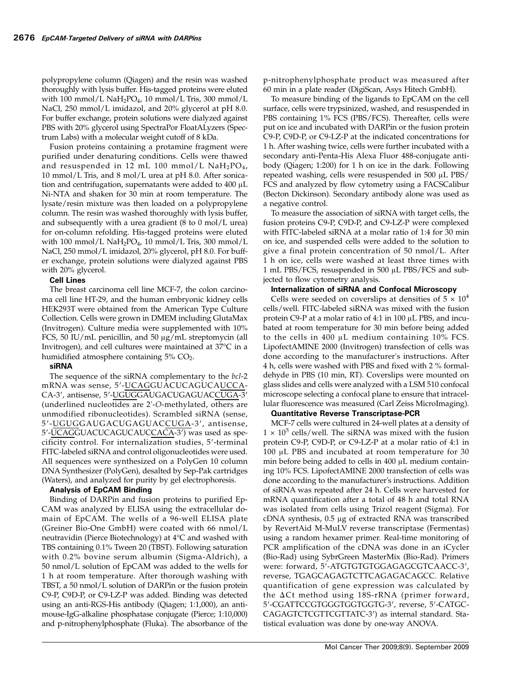polypropylene column (Qiagen) and the resin was washed thoroughly with lysis buffer. His-tagged proteins were eluted with 100 mmol/L  $NaH_2PO_4$ , 10 mmol/L Tris, 300 mmol/L NaCl, 250 mmol/L imidazol, and 20% glycerol at pH 8.0. For buffer exchange, protein solutions were dialyzed against PBS with 20% glycerol using SpectraPor FloatALyzers (Spectrum Labs) with a molecular weight cutoff of 8 kDa.

Fusion proteins containing a protamine fragment were purified under denaturing conditions. Cells were thawed and resuspended in 12 mL 100 mmol/L  $NaH_2PO_4$ , 10 mmol/L Tris, and 8 mol/L urea at pH 8.0. After sonication and centrifugation, supernatants were added to 400 μL Ni-NTA and shaken for 30 min at room temperature. The lysate/resin mixture was then loaded on a polypropylene column. The resin was washed thoroughly with lysis buffer, and subsequently with a urea gradient (8 to 0 mol/L urea) for on-column refolding. His-tagged proteins were eluted with 100 mmol/L  $NaH_2PO_4$ , 10 mmol/L Tris, 300 mmol/L NaCl, 250 mmol/L imidazol, 20% glycerol, pH 8.0. For buffer exchange, protein solutions were dialyzed against PBS with 20% glycerol.

## Cell Lines

The breast carcinoma cell line MCF-7, the colon carcinoma cell line HT-29, and the human embryonic kidney cells HEK293T were obtained from the American Type Culture Collection. Cells were grown in DMEM including GlutaMax (Invitrogen). Culture media were supplemented with 10% FCS, 50 IU/mL penicillin, and 50 μg/mL streptomycin (all Invitrogen), and cell cultures were maintained at 37°C in a humidified atmosphere containing  $5\%$  CO<sub>2</sub>.

## siRNA

The sequence of the siRNA complementary to the bcl-2 mRNA was sense, 5′-UCAGGUACUCAGUCAUCCA-CA-3′, antisense, 5′-UGUGGAUGACUGAGUACCUGA-3′ (underlined nucleotides are 2'-O-methylated, others are unmodified ribonucleotides). Scrambled siRNA (sense, 5′-UGUGGAUGACUGAGUACCUGA-3′, antisense, 5′-UCAGGUACUCAGUCAUCCACA-3′) was used as specificity control. For internalization studies, 5′-terminal FITC-labeled siRNA and control oligonucleotides were used. All sequences were synthesized on a PolyGen 10 column DNA Synthesizer (PolyGen), desalted by Sep-Pak cartridges (Waters), and analyzed for purity by gel electrophoresis.

## Analysis of EpCAM Binding

Binding of DARPin and fusion proteins to purified Ep-CAM was analyzed by ELISA using the extracellular domain of EpCAM. The wells of a 96-well ELISA plate (Greiner Bio-One GmbH) were coated with 66 nmol/L neutravidin (Pierce Biotechnology) at 4°C and washed with TBS containing 0.1% Tween 20 (TBST). Following saturation with 0.2% bovine serum albumin (Sigma-Aldrich), a 50 nmol/L solution of EpCAM was added to the wells for 1 h at room temperature. After thorough washing with TBST, a 50 nmol/L solution of DARPin or the fusion protein C9-P, C9D-P, or C9-LZ-P was added. Binding was detected using an anti-RGS-His antibody (Qiagen; 1:1,000), an antimouse-IgG-alkaline phosphatase conjugate (Pierce; 1:10,000) and p-nitrophenylphosphate (Fluka). The absorbance of the p-nitrophenylphosphate product was measured after 60 min in a plate reader (DigiScan, Asys Hitech GmbH).

To measure binding of the ligands to EpCAM on the cell surface, cells were trypsinized, washed, and resuspended in PBS containing 1% FCS (PBS/FCS). Thereafter, cells were put on ice and incubated with DARPin or the fusion protein C9-P, C9D-P, or C9-LZ-P at the indicated concentrations for 1 h. After washing twice, cells were further incubated with a secondary anti-Penta-His Alexa Fluor 488-conjugate antibody (Qiagen; 1:200) for 1 h on ice in the dark. Following repeated washing, cells were resuspended in 500 μL PBS/ FCS and analyzed by flow cytometry using a FACSCalibur (Becton Dickinson). Secondary antibody alone was used as a negative control.

To measure the association of siRNA with target cells, the fusion proteins C9-P, C9D-P, and C9-LZ-P were complexed with FITC-labeled siRNA at a molar ratio of 1:4 for 30 min on ice, and suspended cells were added to the solution to give a final protein concentration of 50 nmol/L. After 1 h on ice, cells were washed at least three times with 1 mL PBS/FCS, resuspended in 500 μL PBS/FCS and subjected to flow cytometry analysis.

## Internalization of siRNA and Confocal Microscopy

Cells were seeded on coverslips at densities of  $5 \times 10^4$ cells/well. FITC-labeled siRNA was mixed with the fusion protein C9-P at a molar ratio of 4:1 in 100 μL PBS, and incubated at room temperature for 30 min before being added to the cells in 400 μL medium containing 10% FCS. LipofectAMINE 2000 (Invitrogen) transfection of cells was done according to the manufacturer's instructions. After 4 h, cells were washed with PBS and fixed with 2 % formaldehyde in PBS (10 min, RT). Coverslips were mounted on glass slides and cells were analyzed with a LSM 510 confocal microscope selecting a confocal plane to ensure that intracellular fluorescence was measured (Carl Zeiss MicroImaging).

#### Quantitative Reverse Transcriptase-PCR

MCF-7 cells were cultured in 24-well plates at a density of  $1 \times 10^5$  cells/well. The siRNA was mixed with the fusion protein C9-P, C9D-P, or C9-LZ-P at a molar ratio of 4:1 in 100 μL PBS and incubated at room temperature for 30 min before being added to cells in 400 μL medium containing 10% FCS. LipofectAMINE 2000 transfection of cells was done according to the manufacturer's instructions. Addition of siRNA was repeated after 24 h. Cells were harvested for mRNA quantification after a total of 48 h and total RNA was isolated from cells using Trizol reagent (Sigma). For cDNA synthesis, 0.5 μg of extracted RNA was transcribed by RevertAid M-MuLV reverse transcriptase (Fermentas) using a random hexamer primer. Real-time monitoring of PCR amplification of the cDNA was done in an iCycler (Bio-Rad) using SybrGreen MasterMix (Bio-Rad). Primers were: forward, 5′-ATGTGTGTGGAGAGCGTCAACC-3′, reverse, TGAGCAGAGTCTTCAGAGACAGCC. Relative quantification of gene expression was calculated by the ΔCt method using 18S-rRNA (primer forward, 5′-CGATTCCGTGGGTGGTGGTG-3′, reverse, 5′-CATGC-CAGAGTCTCGTTCGTTATC-3′) as internal standard. Statistical evaluation was done by one-way ANOVA.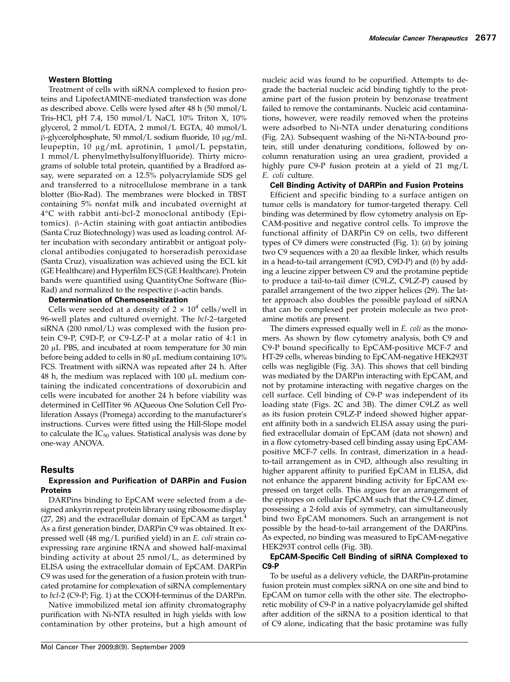## Western Blotting

Treatment of cells with siRNA complexed to fusion proteins and LipofectAMINE-mediated transfection was done as described above. Cells were lysed after 48 h (50 mmol/L Tris-HCl, pH 7.4, 150 mmol/L NaCl, 10% Triton X, 10% glycerol, 2 mmol/L EDTA, 2 mmol/L EGTA, 40 mmol/L β-glycerolphosphate, 50 mmol/L sodium fluoride, 10 μg/mL leupeptin, 10 μg/mL aprotinin, 1 μmol/L pepstatin, 1 mmol/L phenylmethylsulfonylfluoride). Thirty micrograms of soluble total protein, quantified by a Bradford assay, were separated on a 12.5% polyacrylamide SDS gel and transferred to a nitrocellulose membrane in a tank blotter (Bio-Rad). The membranes were blocked in TBST containing 5% nonfat milk and incubated overnight at 4°C with rabbit anti-bcl-2 monoclonal antibody (Epitomics). β-Actin staining with goat antiactin antibodies (Santa Cruz Biotechnology) was used as loading control. After incubation with secondary antirabbit or antigoat polyclonal antibodies conjugated to horseradish peroxidase (Santa Cruz), visualization was achieved using the ECL kit (GE Healthcare) and Hyperfilm ECS (GE Healthcare). Protein bands were quantified using QuantityOne Software (Bio-Rad) and normalized to the respective β-actin bands.

#### Determination of Chemosensitization

Cells were seeded at a density of  $2 \times 10^4$  cells/well in 96-well plates and cultured overnight. The bcl-2-targeted siRNA (200 nmol/L) was complexed with the fusion protein C9-P, C9D-P, or C9-LZ-P at a molar ratio of 4:1 in 20 μL PBS, and incubated at room temperature for 30 min before being added to cells in 80 μL medium containing 10% FCS. Treatment with siRNA was repeated after 24 h. After 48 h, the medium was replaced with 100 μL medium containing the indicated concentrations of doxorubicin and cells were incubated for another 24 h before viability was determined in CellTiter 96 AQueous One Solution Cell Proliferation Assays (Promega) according to the manufacturer's instructions. Curves were fitted using the Hill-Slope model to calculate the  $IC_{50}$  values. Statistical analysis was done by one-way ANOVA.

## Results

## Expression and Purification of DARPin and Fusion Proteins

DARPins binding to EpCAM were selected from a designed ankyrin repeat protein library using ribosome display  $(27, 28)$  and the extracellular domain of EpCAM as target.<sup>4</sup> As a first generation binder, DARPin C9 was obtained. It expressed well (48 mg/L purified yield) in an E. coli strain coexpressing rare arginine tRNA and showed half-maximal binding activity at about 25 nmol/L, as determined by ELISA using the extracellular domain of EpCAM. DARPin C9 was used for the generation of a fusion protein with truncated protamine for complexation of siRNA complementary to bcl-2 (C9-P; Fig. 1) at the COOH-terminus of the DARPin.

Native immobilized metal ion affinity chromatography purification with Ni-NTA resulted in high yields with low contamination by other proteins, but a high amount of nucleic acid was found to be copurified. Attempts to degrade the bacterial nucleic acid binding tightly to the protamine part of the fusion protein by benzonase treatment failed to remove the contaminants. Nucleic acid contaminations, however, were readily removed when the proteins were adsorbed to Ni-NTA under denaturing conditions (Fig. 2A). Subsequent washing of the Ni-NTA-bound protein, still under denaturing conditions, followed by oncolumn renaturation using an urea gradient, provided a highly pure C9-P fusion protein at a yield of 21 mg/L E. coli culture.

#### Cell Binding Activity of DARPin and Fusion Proteins

Efficient and specific binding to a surface antigen on tumor cells is mandatory for tumor-targeted therapy. Cell binding was determined by flow cytometry analysis on Ep-CAM-positive and negative control cells. To improve the functional affinity of DARPin C9 on cells, two different types of C9 dimers were constructed (Fig. 1): (a) by joining two C9 sequences with a 20 aa flexible linker, which results in a head-to-tail arrangement (C9D, C9D-P) and (b) by adding a leucine zipper between C9 and the protamine peptide to produce a tail-to-tail dimer (C9LZ, C9LZ-P) caused by parallel arrangement of the two zipper helices (29). The latter approach also doubles the possible payload of siRNA that can be complexed per protein molecule as two protamine motifs are present.

The dimers expressed equally well in E. coli as the monomers. As shown by flow cytometry analysis, both C9 and C9-P bound specifically to EpCAM-positive MCF-7 and HT-29 cells, whereas binding to EpCAM-negative HEK293T cells was negligible (Fig. 3A). This shows that cell binding was mediated by the DARPin interacting with EpCAM, and not by protamine interacting with negative charges on the cell surface. Cell binding of C9-P was independent of its loading state (Figs. 2C and 3B). The dimer C9LZ as well as its fusion protein C9LZ-P indeed showed higher apparent affinity both in a sandwich ELISA assay using the purified extracellular domain of EpCAM (data not shown) and in a flow cytometry-based cell binding assay using EpCAMpositive MCF-7 cells. In contrast, dimerization in a headto-tail arrangement as in C9D, although also resulting in higher apparent affinity to purified EpCAM in ELISA, did not enhance the apparent binding activity for EpCAM expressed on target cells. This argues for an arrangement of the epitopes on cellular EpCAM such that the C9-LZ dimer, possessing a 2-fold axis of symmetry, can simultaneously bind two EpCAM monomers. Such an arrangement is not possible by the head-to-tail arrangement of the DARPins. As expected, no binding was measured to EpCAM-negative HEK293T control cells (Fig. 3B).

#### EpCAM-Specific Cell Binding of siRNA Complexed to C9-P

To be useful as a delivery vehicle, the DARPin-protamine fusion protein must complex siRNA on one site and bind to EpCAM on tumor cells with the other site. The electrophoretic mobility of C9-P in a native polyacrylamide gel shifted after addition of the siRNA to a position identical to that of C9 alone, indicating that the basic protamine was fully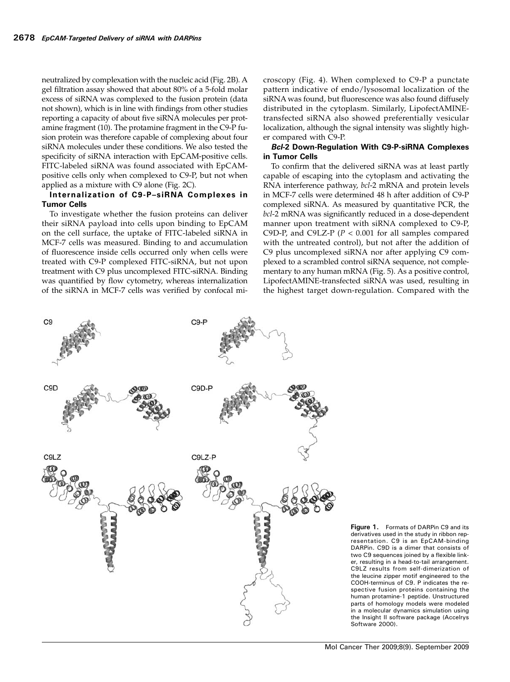neutralized by complexation with the nucleic acid (Fig. 2B). A gel filtration assay showed that about 80% of a 5-fold molar excess of siRNA was complexed to the fusion protein (data not shown), which is in line with findings from other studies reporting a capacity of about five siRNA molecules per protamine fragment (10). The protamine fragment in the C9-P fusion protein was therefore capable of complexing about four siRNA molecules under these conditions. We also tested the specificity of siRNA interaction with EpCAM-positive cells. FITC-labeled siRNA was found associated with EpCAMpositive cells only when complexed to C9-P, but not when applied as a mixture with C9 alone (Fig. 2C).

## Internalization of C9-P–siRNA Complexes in Tumor Cells

To investigate whether the fusion proteins can deliver their siRNA payload into cells upon binding to EpCAM on the cell surface, the uptake of FITC-labeled siRNA in MCF-7 cells was measured. Binding to and accumulation of fluorescence inside cells occurred only when cells were treated with C9-P complexed FITC-siRNA, but not upon treatment with C9 plus uncomplexed FITC-siRNA. Binding was quantified by flow cytometry, whereas internalization of the siRNA in MCF-7 cells was verified by confocal microscopy (Fig. 4). When complexed to C9-P a punctate pattern indicative of endo/lysosomal localization of the siRNA was found, but fluorescence was also found diffusely distributed in the cytoplasm. Similarly, LipofectAMINEtransfected siRNA also showed preferentially vesicular localization, although the signal intensity was slightly higher compared with C9-P.

#### Bcl-2 Down-Regulation With C9-P-siRNA Complexes in Tumor Cells

To confirm that the delivered siRNA was at least partly capable of escaping into the cytoplasm and activating the RNA interference pathway, bcl-2 mRNA and protein levels in MCF-7 cells were determined 48 h after addition of C9-P complexed siRNA. As measured by quantitative PCR, the bcl-2 mRNA was significantly reduced in a dose-dependent manner upon treatment with siRNA complexed to C9-P, C9D-P, and C9LZ-P ( $P < 0.001$  for all samples compared with the untreated control), but not after the addition of C9 plus uncomplexed siRNA nor after applying C9 complexed to a scrambled control siRNA sequence, not complementary to any human mRNA (Fig. 5). As a positive control, LipofectAMINE-transfected siRNA was used, resulting in the highest target down-regulation. Compared with the



Figure 1. Formats of DARPin C9 and its derivatives used in the study in ribbon representation. C9 is an EpCAM-binding DARPin. C9D is a dimer that consists of two C9 sequences joined by a flexible linker, resulting in a head-to-tail arrangement. C9LZ results from self-dimerization of the leucine zipper motif engineered to the COOH-terminus of C9. P indicates the respective fusion proteins containing the human protamine-1 peptide. Unstructured parts of homology models were modeled in a molecular dynamics simulation using the Insight II software package (Accelrys Software 2000).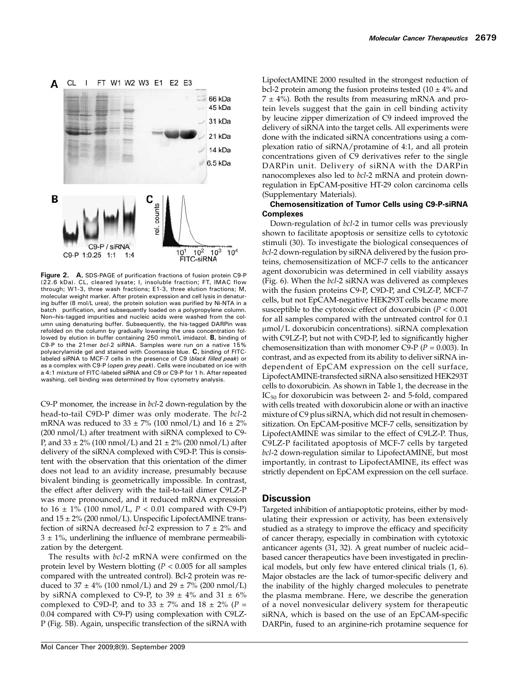

Figure 2. A, SDS-PAGE of purification fractions of fusion protein C9-P (22.6 kDa). CL, cleared lysate; I, insoluble fraction; FT, IMAC flow through; W1-3, three wash fractions; E1-3, three elution fractions; M, molecular weight marker. After protein expression and cell lysis in denaturing buffer (8 mol/L urea), the protein solution was purified by Ni-NTA in a batch purification, and subsequently loaded on a polypropylene column. Non–his-tagged impurities and nucleic acids were washed from the column using denaturing buffer. Subsequently, the his-tagged DARPin was refolded on the column by gradually lowering the urea concentration followed by elution in buffer containing 250 mmol/L imidazol. **B**, binding of C9-P to the 21mer bcl-2 siRNA. Samples were run on a native 15% polyacrylamide gel and stained with Coomassie blue. C, binding of FITClabeled siRNA to MCF-7 cells in the presence of C9 (black filled peak) or as a complex with C9-P (open grey peak). Cells were incubated on ice with a 4:1 mixture of FITC-labeled siRNA and C9 or C9-P for 1 h. After repeated washing, cell binding was determined by flow cytometry analysis.

C9-P monomer, the increase in bcl-2 down-regulation by the head-to-tail C9D-P dimer was only moderate. The bcl-2 mRNA was reduced to  $33 \pm 7\%$  (100 nmol/L) and  $16 \pm 2\%$ (200 nmol/L) after treatment with siRNA complexed to C9- P, and  $33 \pm 2\%$  (100 nmol/L) and  $21 \pm 2\%$  (200 nmol/L) after delivery of the siRNA complexed with C9D-P. This is consistent with the observation that this orientation of the dimer does not lead to an avidity increase, presumably because bivalent binding is geometrically impossible. In contrast, the effect after delivery with the tail-to-tail dimer C9LZ-P was more pronounced, and it reduced mRNA expression to  $16 \pm 1\%$  (100 nmol/L,  $P < 0.01$  compared with C9-P) and  $15 \pm 2\%$  (200 nmol/L). Unspecific LipofectAMINE transfection of siRNA decreased bcl-2 expression to  $7 \pm 2\%$  and  $3 \pm 1\%$ , underlining the influence of membrane permeabilization by the detergent.

The results with bcl-2 mRNA were confirmed on the protein level by Western blotting ( $P < 0.005$  for all samples compared with the untreated control). Bcl-2 protein was reduced to  $37 \pm 4\%$  (100 nmol/L) and  $29 \pm 7\%$  (200 nmol/L) by siRNA complexed to C9-P, to 39  $\pm$  4% and 31  $\pm$  6% complexed to C9D-P, and to 33  $\pm$  7% and 18  $\pm$  2% (P = 0.04 compared with C9-P) using complexation with C9LZ-P (Fig. 5B). Again, unspecific transfection of the siRNA with

LipofectAMINE 2000 resulted in the strongest reduction of bcl-2 protein among the fusion proteins tested  $(10 \pm 4\%)$  and  $7 \pm 4\%$ ). Both the results from measuring mRNA and protein levels suggest that the gain in cell binding activity by leucine zipper dimerization of C9 indeed improved the delivery of siRNA into the target cells. All experiments were done with the indicated siRNA concentrations using a complexation ratio of siRNA/protamine of 4:1, and all protein concentrations given of C9 derivatives refer to the single DARPin unit. Delivery of siRNA with the DARPin nanocomplexes also led to bcl-2 mRNA and protein downregulation in EpCAM-positive HT-29 colon carcinoma cells (Supplementary Materials).

## Chemosensitization of Tumor Cells using C9-P-siRNA **Complexes**

Down-regulation of bcl-2 in tumor cells was previously shown to facilitate apoptosis or sensitize cells to cytotoxic stimuli (30). To investigate the biological consequences of bcl-2 down-regulation by siRNA delivered by the fusion proteins, chemosensitization of MCF-7 cells to the anticancer agent doxorubicin was determined in cell viability assays (Fig. 6). When the bcl-2 siRNA was delivered as complexes with the fusion proteins C9-P, C9D-P, and C9LZ-P, MCF-7 cells, but not EpCAM-negative HEK293T cells became more susceptible to the cytotoxic effect of doxorubicin ( $P < 0.001$ ) for all samples compared with the untreated control for 0.1 μmol/L doxorubicin concentrations). siRNA complexation with C9LZ-P, but not with C9D-P, led to significantly higher chemosensitization than with monomer C9-P ( $P = 0.003$ ). In contrast, and as expected from its ability to deliver siRNA independent of EpCAM expression on the cell surface, LipofectAMINE-transfected siRNA also sensitized HEK293T cells to doxorubicin. As shown in Table 1, the decrease in the  $IC_{50}$  for doxorubicin was between 2- and 5-fold, compared with cells treated with doxorubicin alone or with an inactive mixture of C9 plus siRNA, which did not result in chemosensitization. On EpCAM-positive MCF-7 cells, sensitization by LipofectAMINE was similar to the effect of C9LZ-P. Thus, C9LZ-P facilitated apoptosis of MCF-7 cells by targeted bcl-2 down-regulation similar to LipofectAMINE, but most importantly, in contrast to LipofectAMINE, its effect was strictly dependent on EpCAM expression on the cell surface.

## **Discussion**

Targeted inhibition of antiapoptotic proteins, either by modulating their expression or activity, has been extensively studied as a strategy to improve the efficacy and specificity of cancer therapy, especially in combination with cytotoxic anticancer agents (31, 32). A great number of nucleic acid– based cancer therapeutics have been investigated in preclinical models, but only few have entered clinical trials (1, 6). Major obstacles are the lack of tumor-specific delivery and the inability of the highly charged molecules to penetrate the plasma membrane. Here, we describe the generation of a novel nonvesicular delivery system for therapeutic siRNA, which is based on the use of an EpCAM-specific DARPin, fused to an arginine-rich protamine sequence for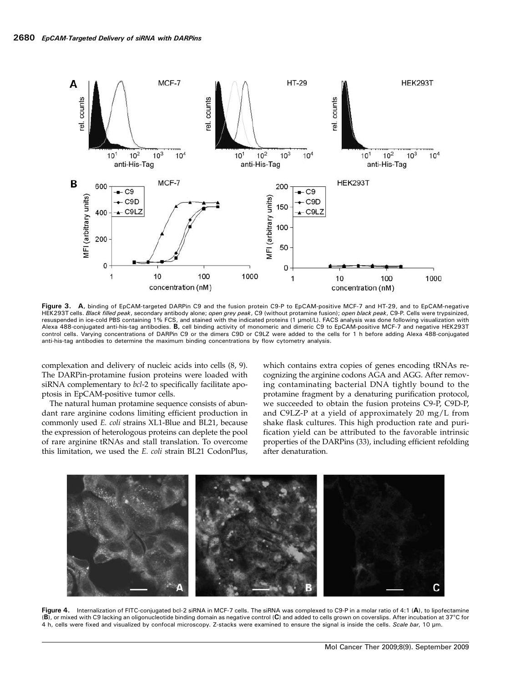

Figure 3. A, binding of EpCAM-targeted DARPin C9 and the fusion protein C9-P to EpCAM-positive MCF-7 and HT-29, and to EpCAM-negative HEK293T cells. Black filled peak, secondary antibody alone; open grey peak, C9 (without protamine fusion); open black peak, C9-P. Cells were trypsinized, resuspended in ice-cold PBS containing 1% FCS, and stained with the indicated proteins (1 μmol/L). FACS analysis was done following visualization with Alexa 488-conjugated anti-his-tag antibodies. B, cell binding activity of monomeric and dimeric C9 to EpCAM-positive MCF-7 and negative HEK293T control cells. Varying concentrations of DARPin C9 or the dimers C9D or C9LZ were added to the cells for 1 h before adding Alexa 488-conjugated anti-his-tag antibodies to determine the maximum binding concentrations by flow cytometry analysis.

complexation and delivery of nucleic acids into cells (8, 9). The DARPin-protamine fusion proteins were loaded with siRNA complementary to bcl-2 to specifically facilitate apoptosis in EpCAM-positive tumor cells.

The natural human protamine sequence consists of abundant rare arginine codons limiting efficient production in commonly used E. coli strains XL1-Blue and BL21, because the expression of heterologous proteins can deplete the pool of rare arginine tRNAs and stall translation. To overcome this limitation, we used the E. coli strain BL21 CodonPlus,

which contains extra copies of genes encoding tRNAs recognizing the arginine codons AGA and AGG. After removing contaminating bacterial DNA tightly bound to the protamine fragment by a denaturing purification protocol, we succeeded to obtain the fusion proteins C9-P, C9D-P, and C9LZ-P at a yield of approximately 20 mg/L from shake flask cultures. This high production rate and purification yield can be attributed to the favorable intrinsic properties of the DARPins (33), including efficient refolding after denaturation.



Figure 4. Internalization of FITC-conjugated bcl-2 siRNA in MCF-7 cells. The siRNA was complexed to C9-P in a molar ratio of 4:1 (A), to lipofectamine (B), or mixed with C9 lacking an oligonucleotide binding domain as negative control (C) and added to cells grown on coverslips. After incubation at 37°C for 4 h, cells were fixed and visualized by confocal microscopy. Z-stacks were examined to ensure the signal is inside the cells. Scale bar, 10 µm.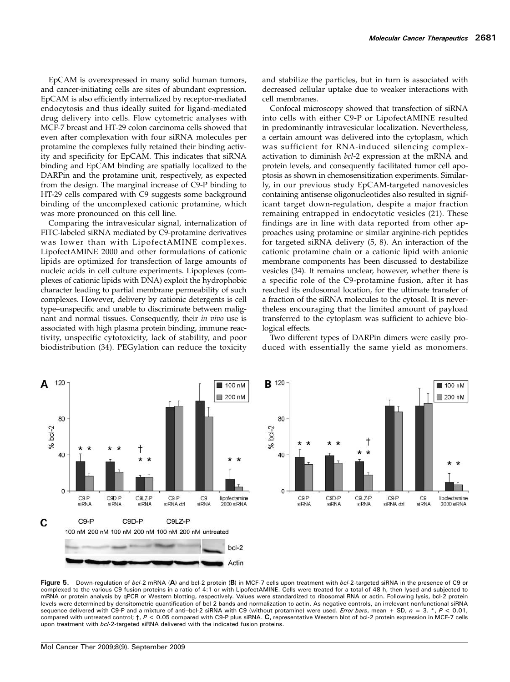100 nM

200 nM

lipofectamine

2000 siRNA

C9

siRNA

EpCAM is overexpressed in many solid human tumors, and cancer-initiating cells are sites of abundant expression. EpCAM is also efficiently internalized by receptor-mediated endocytosis and thus ideally suited for ligand-mediated drug delivery into cells. Flow cytometric analyses with MCF-7 breast and HT-29 colon carcinoma cells showed that even after complexation with four siRNA molecules per protamine the complexes fully retained their binding activity and specificity for EpCAM. This indicates that siRNA binding and EpCAM binding are spatially localized to the DARPin and the protamine unit, respectively, as expected from the design. The marginal increase of C9-P binding to HT-29 cells compared with C9 suggests some background binding of the uncomplexed cationic protamine, which was more pronounced on this cell line.

Comparing the intravesicular signal, internalization of FITC-labeled siRNA mediated by C9-protamine derivatives was lower than with LipofectAMINE complexes. LipofectAMINE 2000 and other formulations of cationic lipids are optimized for transfection of large amounts of nucleic acids in cell culture experiments. Lipoplexes (complexes of cationic lipids with DNA) exploit the hydrophobic character leading to partial membrane permeability of such complexes. However, delivery by cationic detergents is cell type–unspecific and unable to discriminate between malignant and normal tissues. Consequently, their in vivo use is associated with high plasma protein binding, immune reactivity, unspecific cytotoxicity, lack of stability, and poor biodistribution (34). PEGylation can reduce the toxicity

and stabilize the particles, but in turn is associated with decreased cellular uptake due to weaker interactions with cell membranes.

Confocal microscopy showed that transfection of siRNA into cells with either C9-P or LipofectAMINE resulted in predominantly intravesicular localization. Nevertheless, a certain amount was delivered into the cytoplasm, which was sufficient for RNA-induced silencing complexactivation to diminish bcl-2 expression at the mRNA and protein levels, and consequently facilitated tumor cell apoptosis as shown in chemosensitization experiments. Similarly, in our previous study EpCAM-targeted nanovesicles containing antisense oligonucleotides also resulted in significant target down-regulation, despite a major fraction remaining entrapped in endocytotic vesicles (21). These findings are in line with data reported from other approaches using protamine or similar arginine-rich peptides for targeted siRNA delivery (5, 8). An interaction of the cationic protamine chain or a cationic lipid with anionic membrane components has been discussed to destabilize vesicles (34). It remains unclear, however, whether there is a specific role of the C9-protamine fusion, after it has reached its endosomal location, for the ultimate transfer of a fraction of the siRNA molecules to the cytosol. It is nevertheless encouraging that the limited amount of payload transferred to the cytoplasm was sufficient to achieve biological effects.

Two different types of DARPin dimers were easily produced with essentially the same yield as monomers.



Figure 5. Down-regulation of bcl-2 mRNA (A) and bcl-2 protein (B) in MCF-7 cells upon treatment with bcl-2-targeted siRNA in the presence of C9 or complexed to the various C9 fusion proteins in a ratio of 4:1 or with LipofectAMINE. Cells were treated for a total of 48 h, then lysed and subjected to mRNA or protein analysis by qPCR or Western blotting, respectively. Values were standardized to ribosomal RNA or actin. Following lysis, bcl-2 protein levels were determined by densitometric quantification of bcl-2 bands and normalization to actin. As negative controls, an irrelevant nonfunctional siRNA sequence delivered with C9-P and a mixture of anti-bcl-2 siRNA with C9 (without protamine) were used. Error bars, mean + SD,  $n = 3.*, p < 0.01$ , compared with untreated control;  $\dagger$ ,  $P < 0.05$  compared with C9-P plus siRNA. C, representative Western blot of bcl-2 protein expression in MCF-7 cells upon treatment with bcl-2-targeted siRNA delivered with the indicated fusion proteins.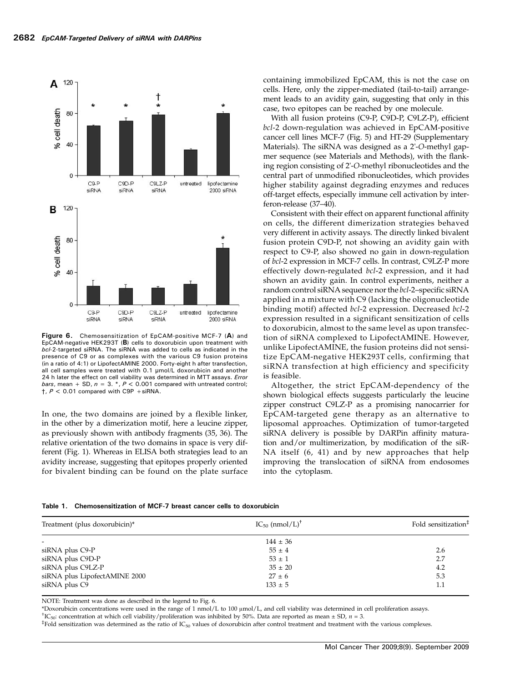

Figure 6. Chemosensitization of EpCAM-positive MCF-7 (A) and EpCAM-negative HEK293T (B) cells to doxorubicin upon treatment with bcl-2-targeted siRNA. The siRNA was added to cells as indicated in the presence of C9 or as complexes with the various C9 fusion proteins (in a ratio of 4:1) or LipofectAMINE 2000. Forty-eight h after transfection, all cell samples were treated with 0.1 μmol/L doxorubicin and another 24 h later the effect on cell viability was determined in MTT assays. Error bars, mean + SD,  $n = 3$ . \*,  $P < 0.001$  compared with untreated control;  $\dagger$ ,  $P < 0.01$  compared with C9P + siRNA.

In one, the two domains are joined by a flexible linker, in the other by a dimerization motif, here a leucine zipper, as previously shown with antibody fragments (35, 36). The relative orientation of the two domains in space is very different (Fig. 1). Whereas in ELISA both strategies lead to an avidity increase, suggesting that epitopes properly oriented for bivalent binding can be found on the plate surface containing immobilized EpCAM, this is not the case on cells. Here, only the zipper-mediated (tail-to-tail) arrangement leads to an avidity gain, suggesting that only in this case, two epitopes can be reached by one molecule.

With all fusion proteins (C9-P, C9D-P, C9LZ-P), efficient bcl-2 down-regulation was achieved in EpCAM-positive cancer cell lines MCF-7 (Fig. 5) and HT-29 (Supplementary Materials). The siRNA was designed as a 2'-O-methyl gapmer sequence (see Materials and Methods), with the flanking region consisting of 2'-O-methyl ribonucleotides and the central part of unmodified ribonucleotides, which provides higher stability against degrading enzymes and reduces off-target effects, especially immune cell activation by interferon-release (37–40).

Consistent with their effect on apparent functional affinity on cells, the different dimerization strategies behaved very different in activity assays. The directly linked bivalent fusion protein C9D-P, not showing an avidity gain with respect to C9-P, also showed no gain in down-regulation of bcl-2 expression in MCF-7 cells. In contrast, C9LZ-P more effectively down-regulated bcl-2 expression, and it had shown an avidity gain. In control experiments, neither a random control siRNA sequence nor the bcl-2–specific siRNA applied in a mixture with C9 (lacking the oligonucleotide binding motif) affected bcl-2 expression. Decreased bcl-2 expression resulted in a significant sensitization of cells to doxorubicin, almost to the same level as upon transfection of siRNA complexed to LipofectAMINE. However, unlike LipofectAMINE, the fusion proteins did not sensitize EpCAM-negative HEK293T cells, confirming that siRNA transfection at high efficiency and specificity is feasible.

Altogether, the strict EpCAM-dependency of the shown biological effects suggests particularly the leucine zipper construct C9LZ-P as a promising nanocarrier for EpCAM-targeted gene therapy as an alternative to liposomal approaches. Optimization of tumor-targeted siRNA delivery is possible by DARPin affinity maturation and/or multimerization, by modification of the siR-NA itself (6, 41) and by new approaches that help improving the translocation of siRNA from endosomes into the cytoplasm.

|  |  |  | Table 1. Chemosensitization of MCF-7 breast cancer cells to doxorubicin |  |  |  |  |  |  |  |  |
|--|--|--|-------------------------------------------------------------------------|--|--|--|--|--|--|--|--|
|--|--|--|-------------------------------------------------------------------------|--|--|--|--|--|--|--|--|

| Treatment (plus doxorubicin)* | $IC_{50}$ (nmol/L) <sup>†</sup> | Fold sensitization <sup>‡</sup> |  |
|-------------------------------|---------------------------------|---------------------------------|--|
|                               | $144 \pm 36$                    |                                 |  |
| siRNA plus C9-P               | $55 \pm 4$                      | 2.6                             |  |
| siRNA plus C9D-P              | $53 \pm 1$                      | 2.7                             |  |
| siRNA plus C9LZ-P             | $35 \pm 20$                     | 4.2                             |  |
| siRNA plus LipofectAMINE 2000 | $27 \pm 6$                      | 5.3                             |  |
| siRNA plus C9                 | $133 \pm 5$                     | 1.1                             |  |

NOTE: Treatment was done as described in the legend to Fig. 6.

\*Doxorubicin concentrations were used in the range of 1 nmol/L to 100 <sup>μ</sup>mol/L, and cell viability was determined in cell proliferation assays. †

<sup>†</sup>IC<sub>50</sub>: concentration at which cell viability/proliferation was inhibited by 50%. Data are reported as mean ± SD,  $n = 3$ .

 $*$ Fold sensitization was determined as the ratio of IC<sub>50</sub> values of doxorubicin after control treatment and treatment with the various complexes.